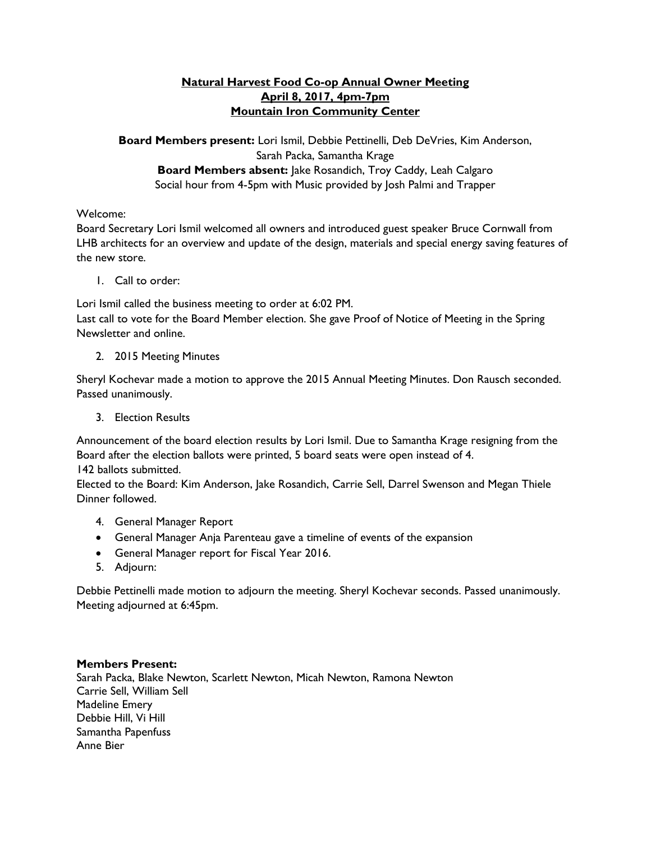## **Natural Harvest Food Co-op Annual Owner Meeting April 8, 2017, 4pm-7pm Mountain Iron Community Center**

**Board Members present:** Lori Ismil, Debbie Pettinelli, Deb DeVries, Kim Anderson, Sarah Packa, Samantha Krage **Board Members absent:** Jake Rosandich, Troy Caddy, Leah Calgaro Social hour from 4-5pm with Music provided by Josh Palmi and Trapper

## Welcome:

Board Secretary Lori Ismil welcomed all owners and introduced guest speaker Bruce Cornwall from LHB architects for an overview and update of the design, materials and special energy saving features of the new store.

1. Call to order:

Lori Ismil called the business meeting to order at 6:02 PM.

Last call to vote for the Board Member election. She gave Proof of Notice of Meeting in the Spring Newsletter and online.

2. 2015 Meeting Minutes

Sheryl Kochevar made a motion to approve the 2015 Annual Meeting Minutes. Don Rausch seconded. Passed unanimously.

3. Election Results

Announcement of the board election results by Lori Ismil. Due to Samantha Krage resigning from the Board after the election ballots were printed, 5 board seats were open instead of 4. 142 ballots submitted.

Elected to the Board: Kim Anderson, Jake Rosandich, Carrie Sell, Darrel Swenson and Megan Thiele Dinner followed.

- 4. General Manager Report
- General Manager Anja Parenteau gave a timeline of events of the expansion
- General Manager report for Fiscal Year 2016.
- 5. Adjourn:

Debbie Pettinelli made motion to adjourn the meeting. Sheryl Kochevar seconds. Passed unanimously. Meeting adjourned at 6:45pm.

## **Members Present:**

Sarah Packa, Blake Newton, Scarlett Newton, Micah Newton, Ramona Newton Carrie Sell, William Sell Madeline Emery Debbie Hill, Vi Hill Samantha Papenfuss Anne Bier